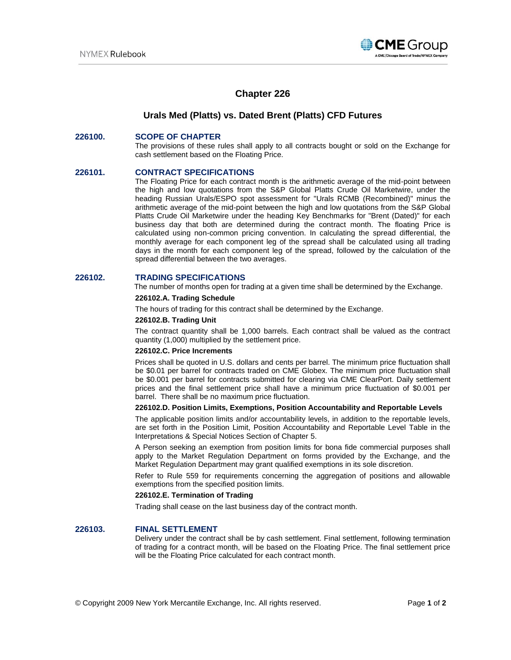

# **Chapter 226**

## **Urals Med (Platts) vs. Dated Brent (Platts) CFD Futures**

### **226100. SCOPE OF CHAPTER**

The provisions of these rules shall apply to all contracts bought or sold on the Exchange for cash settlement based on the Floating Price.

### **226101. CONTRACT SPECIFICATIONS**

The Floating Price for each contract month is the arithmetic average of the mid-point between the high and low quotations from the S&P Global Platts Crude Oil Marketwire, under the heading Russian Urals/ESPO spot assessment for "Urals RCMB (Recombined)" minus the arithmetic average of the mid-point between the high and low quotations from the S&P Global Platts Crude Oil Marketwire under the heading Key Benchmarks for "Brent (Dated)" for each business day that both are determined during the contract month. The floating Price is calculated using non-common pricing convention. In calculating the spread differential, the monthly average for each component leg of the spread shall be calculated using all trading days in the month for each component leg of the spread, followed by the calculation of the spread differential between the two averages.

### **226102. TRADING SPECIFICATIONS**

The number of months open for trading at a given time shall be determined by the Exchange.

### **226102.A. Trading Schedule**

The hours of trading for this contract shall be determined by the Exchange.

#### **226102.B. Trading Unit**

The contract quantity shall be 1,000 barrels. Each contract shall be valued as the contract quantity (1,000) multiplied by the settlement price.

#### **226102.C. Price Increments**

Prices shall be quoted in U.S. dollars and cents per barrel. The minimum price fluctuation shall be \$0.01 per barrel for contracts traded on CME Globex. The minimum price fluctuation shall be \$0.001 per barrel for contracts submitted for clearing via CME ClearPort. Daily settlement prices and the final settlement price shall have a minimum price fluctuation of \$0.001 per barrel. There shall be no maximum price fluctuation.

### **226102.D. Position Limits, Exemptions, Position Accountability and Reportable Levels**

The applicable position limits and/or accountability levels, in addition to the reportable levels, are set forth in the Position Limit, Position Accountability and Reportable Level Table in the Interpretations & Special Notices Section of Chapter 5.

A Person seeking an exemption from position limits for bona fide commercial purposes shall apply to the Market Regulation Department on forms provided by the Exchange, and the Market Regulation Department may grant qualified exemptions in its sole discretion.

Refer to Rule 559 for requirements concerning the aggregation of positions and allowable exemptions from the specified position limits.

### **226102.E. Termination of Trading**

Trading shall cease on the last business day of the contract month.

#### **226103. FINAL SETTLEMENT**

Delivery under the contract shall be by cash settlement. Final settlement, following termination of trading for a contract month, will be based on the Floating Price. The final settlement price will be the Floating Price calculated for each contract month.